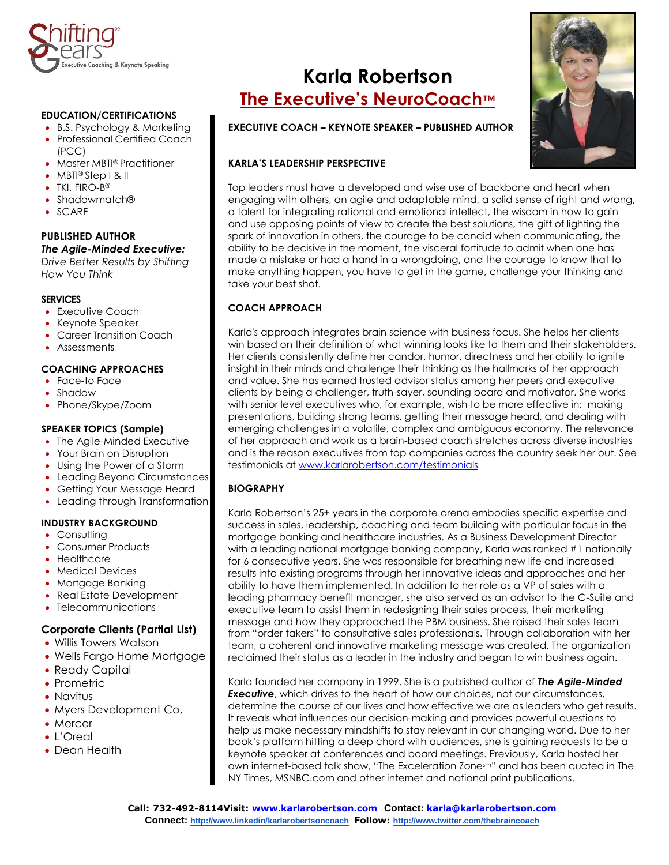

#### **EDUCATION/CERTIFICATIONS**

- B.S. Psychology & Marketing
- Professional Certified Coach (PCC)
- Master MBTI® Practitioner
- MBTI® Step I & II
- TKI, FIRO-B®
- Shadowmatch®
- SCARF

# **PUBLISHED AUTHOR** *The Agile-Minded Executive:*

*Drive Better Results by Shifting How You Think*

#### **SERVICES**

- Executive Coach
- Keynote Speaker
- Career Transition Coach
- Assessments

# **COACHING APPROACHES**

- Face-to Face
- Shadow
- Phone/Skype/Zoom

### **SPEAKER TOPICS (Sample)**

- The Agile-Minded Executive
- Your Brain on Disruption
- Using the Power of a Storm
- Leading Beyond Circumstances
- Getting Your Message Heard
- Leading through Transformation

# **INDUSTRY BACKGROUND**

- Consulting
- Consumer Products
- Healthcare
- Medical Devices
- Mortgage Banking
- Real Estate Development
- Telecommunications

# **Corporate Clients (Partial List)**

- Willis Towers Watson
- Wells Fargo Home Mortgage
- Ready Capital
- Prometric
- Navitus
- Myers Development Co.
- Mercer
- L'Oreal
- Dean Health

# **Karla Robertson The Executive's NeuroCoach™**





#### **KARLA'S LEADERSHIP PERSPECTIVE**

Top leaders must have a developed and wise use of backbone and heart when engaging with others, an agile and adaptable mind, a solid sense of right and wrong, a talent for integrating rational and emotional intellect, the wisdom in how to gain and use opposing points of view to create the best solutions, the gift of lighting the spark of innovation in others, the courage to be candid when communicating, the ability to be decisive in the moment, the visceral fortitude to admit when one has made a mistake or had a hand in a wrongdoing, and the courage to know that to make anything happen, you have to get in the game, challenge your thinking and take your best shot.

# **COACH APPROACH**

Karla's approach integrates brain science with business focus. She helps her clients win based on their definition of what winning looks like to them and their stakeholders. Her clients consistently define her candor, humor, directness and her ability to ignite insight in their minds and challenge their thinking as the hallmarks of her approach and value. She has earned trusted advisor status among her peers and executive clients by being a challenger, truth-sayer, sounding board and motivator. She works with senior level executives who, for example, wish to be more effective in: making presentations, building strong teams, getting their message heard, and dealing with emerging challenges in a volatile, complex and ambiguous economy. The relevance of her approach and work as a brain-based coach stretches across diverse industries and is the reason executives from top companies across the country seek her out. See testimonials at<www.karlarobertson.com/testimonials>

# **BIOGRAPHY**

Karla Robertson's 25+ years in the corporate arena embodies specific expertise and success in sales, leadership, coaching and team building with particular focus in the mortgage banking and healthcare industries. As a Business Development Director with a leading national mortgage banking company, Karla was ranked #1 nationally for 6 consecutive years. She was responsible for breathing new life and increased results into existing programs through her innovative ideas and approaches and her ability to have them implemented. In addition to her role as a VP of sales with a leading pharmacy benefit manager, she also served as an advisor to the C-Suite and executive team to assist them in redesigning their sales process, their marketing message and how they approached the PBM business. She raised their sales team from "order takers" to consultative sales professionals. Through collaboration with her team, a coherent and innovative marketing message was created. The organization reclaimed their status as a leader in the industry and began to win business again.

Karla founded her company in 1999. She is a published author of *The Agile-Minded*  **Executive**, which drives to the heart of how our choices, not our circumstances, determine the course of our lives and how effective we are as leaders who get results. It reveals what influences our decision-making and provides powerful questions to help us make necessary mindshifts to stay relevant in our changing world. Due to her book's platform hitting a deep chord with audiences, she is gaining requests to be a keynote speaker at conferences and board meetings. Previously, Karla hosted her own internet-based talk show, "The Exceleration Zonesm" and has been quoted in The NY Times, MSNBC.com and other internet and national print publications.